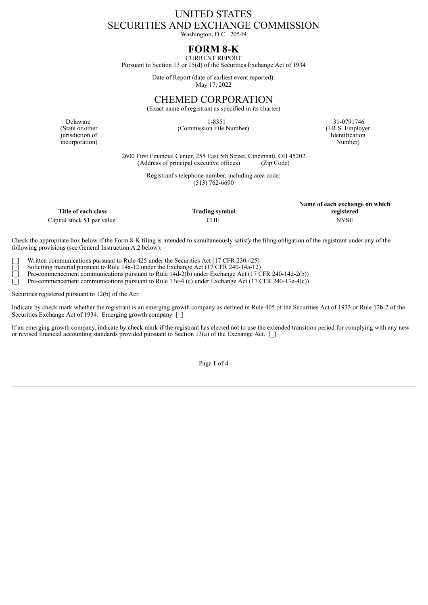## UNITED STATES SECURITIES AND EXCHANGE COMMISSION

Washington, D.C. 20549

## **FORM 8-K** CURRENT REPORT

Pursuant to Section 13 or 15(d) of the Securities Exchange Act of 1934

Date of Report (date of earliest event reported): May 17, 2022

CHEMED CORPORATION

(Exact name of registrant as specified in its charter)

Delaware 31-0791746 31-0791746 (Commission File Number) (I.R.S. Employer **Identification** Number)

**Name of each exchange on which**

(State or other jurisdiction of incorporation)

> 2600 First Financial Center, 255 East 5th Street, Cincinnati, OH 45202 (Address of principal executive offices)

> > Registrant's telephone number, including area code: (513) 762-6690

|                             |                       | Thank of each exeming on which |
|-----------------------------|-----------------------|--------------------------------|
| Title of each class         | <b>Trading symbol</b> | registered                     |
| Capital stock \$1 par value | CHE                   | NYSE                           |

Check the appropriate box below if the Form 8-K filing is intended to simultaneously satisfy the filing obligation of the registrant under any of the following provisions (see General Instruction A.2 below):

Written communications pursuant to Rule 425 under the Securities Act (17 CFR 230.425)

Soliciting material pursuant to Rule 14a-12 under the Exchange Act  $(17 \text{ CFR } 240-14a-12)$ 

[\_] Pre-commencement communications pursuant to Rule 14d-2(b) under Exchange Act (17 CFR 240-14d-2(b))

Pre-commencement communications pursuant to Rule 13e-4 (c) under Exchange Act (17 CFR 240-13e-4(c))

Securities registered pursuant to 12(b) of the Act:

Indicate by check mark whether the registrant is an emerging growth company as defined in Rule 405 of the Securities Act of 1933 or Rule 12b-2 of the Securities Exchange Act of 1934. Emerging growth company [ ]

If an emerging growth company, indicate by check mark if the registrant has elected not to use the extended transition period for complying with any new or revised financial accounting standards provided pursuant to Section 13(a) of the Exchange Act. [ ]

Page **1** of **4**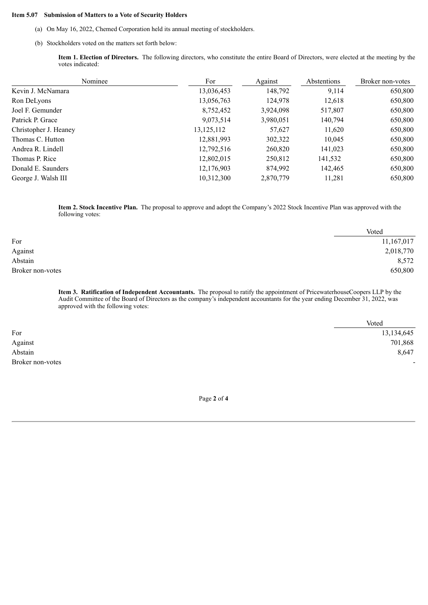## **Item 5.07 Submission of Matters to a Vote of Security Holders**

- (a) On May 16, 2022, Chemed Corporation held its annual meeting of stockholders.
- (b) Stockholders voted on the matters set forth below:

**Item 1. Election of Directors.** The following directors, who constitute the entire Board of Directors, were elected at the meeting by the votes indicated:

| Nominee               | For          | Against   | Abstentions | Broker non-votes |
|-----------------------|--------------|-----------|-------------|------------------|
| Kevin J. McNamara     | 13,036,453   | 148,792   | 9,114       | 650,800          |
| Ron DeLyons           | 13,056,763   | 124,978   | 12,618      | 650,800          |
| Joel F. Gemunder      | 8,752,452    | 3,924,098 | 517,807     | 650,800          |
| Patrick P. Grace      | 9,073,514    | 3,980,051 | 140,794     | 650,800          |
| Christopher J. Heaney | 13, 125, 112 | 57,627    | 11,620      | 650,800          |
| Thomas C. Hutton      | 12,881,993   | 302,322   | 10,045      | 650,800          |
| Andrea R. Lindell     | 12,792,516   | 260,820   | 141,023     | 650,800          |
| Thomas P. Rice        | 12,802,015   | 250,812   | 141,532     | 650,800          |
| Donald E. Saunders    | 12,176,903   | 874,992   | 142,465     | 650,800          |
| George J. Walsh III   | 10,312,300   | 2,870,779 | 11,281      | 650,800          |

**Item 2. Stock Incentive Plan.** The proposal to approve and adopt the Company's 2022 Stock Incentive Plan was approved with the following votes:

|                  | Voted      |
|------------------|------------|
| For              | 11,167,017 |
| Against          | 2,018,770  |
| Abstain          | 8,572      |
| Broker non-votes | 650,800    |

**Item 3. Ratification of Independent Accountants.** The proposal to ratify the appointment of PricewaterhouseCoopers LLP by the Audit Committee of the Board of Directors as the company's independent accountants for the year ending December 31, 2022, was approved with the following votes:

|                  | Voted      |
|------------------|------------|
| For              | 13,134,645 |
| Against          | 701,868    |
| Abstain          | 8,647      |
| Broker non-votes | -          |

Page **2** of **4**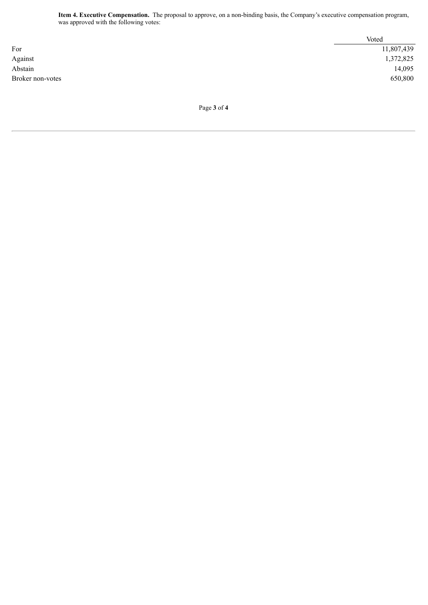**Item 4. Executive Compensation.** The proposal to approve, on a non-binding basis, the Company's executive compensation program, was approved with the following votes:

|                  | Voted      |
|------------------|------------|
| For              | 11,807,439 |
| Against          | 1,372,825  |
| Abstain          | 14,095     |
| Broker non-votes | 650,800    |
|                  |            |

Page **3** of **4**